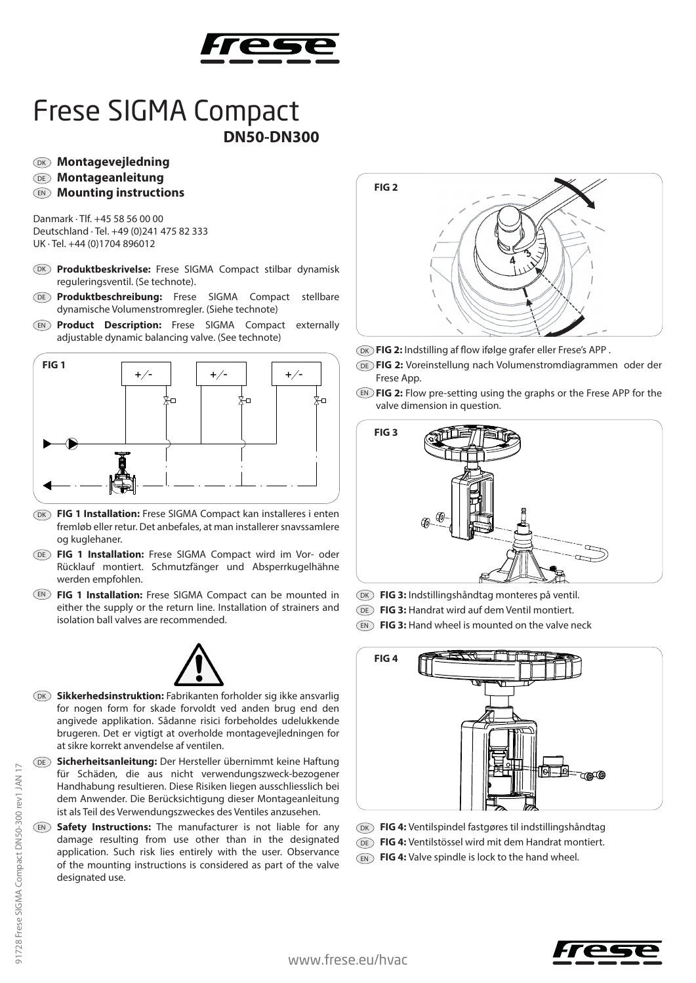

## Frese SIGMA Compact **DN50-DN300**

## DK **Montagevejledning**

## DE **Montageanleitung**

EN **Mounting instructions**

Danmark · Tlf. +45 58 56 00 00 Deutschland · Tel. +49 (0)241 475 82 333 UK · Tel. +44 (0)1704 896012

- DK Produktbeskrivelse: Frese SIGMA Compact stilbar dynamisk reguleringsventil. (Se technote).
- DE Produktbeschreibung: Frese SIGMA Compact stellbare dynamische Volumenstromregler. (Siehe technote)
- EN **Product Description:** Frese SIGMA Compact externally adjustable dynamic balancing valve. (See technote)



- DK FIG 1 Installation: Frese SIGMA Compact kan installeres i enten fremløb eller retur. Det anbefales, at man installerer snavssamlere og kuglehaner.
- DE FIG 1 Installation: Frese SIGMA Compact wird im Vor- oder Rücklauf montiert. Schmutzfänger und Absperrkugelhähne werden empfohlen.
- EN) FIG 1 Installation: Frese SIGMA Compact can be mounted in either the supply or the return line. Installation of strainers and isolation ball valves are recommended.



- DK Sikkerhedsinstruktion: Fabrikanten forholder sig ikke ansvarlig for nogen form for skade forvoldt ved anden brug end den angivede applikation. Sådanne risici forbeholdes udelukkende brugeren. Det er vigtigt at overholde montagevejledningen for at sikre korrekt anvendelse af ventilen.
- **Sicherheitsanleitung:** Der Hersteller übernimmt keine Haftung DE für Schäden, die aus nicht verwendungszweck-bezogener Handhabung resultieren. Diese Risiken liegen ausschliesslich bei dem Anwender. Die Berücksichtigung dieser Montageanleitung ist als Teil des Verwendungszweckes des Ventiles anzusehen.
- EN Safety Instructions: The manufacturer is not liable for any damage resulting from use other than in the designated application. Such risk lies entirely with the user. Observance of the mounting instructions is considered as part of the valve designated use.



DK) **FIG 2:** Indstilling af flow ifølge grafer eller Frese's APP .

- **FIG 2:** Voreinstellung nach Volumenstromdiagrammen oder der DE Frese App.
- EN) **FIG 2:** Flow pre-setting using the graphs or the Frese APP for the valve dimension in question.



- DK **FIG 3:** Indstillingshåndtag monteres på ventil.
- DE **FIG 3:** Handrat wird auf dem Ventil montiert.
- EN FIG 3: Hand wheel is mounted on the valve neck



- DK) **FIG 4:** Ventilspindel fastgøres til indstillingshåndtag
- **FIG 4:** Ventilstössel wird mit dem Handrat montiert. DE
- **FIG 4:** Valve spindle is lock to the hand wheel. EN

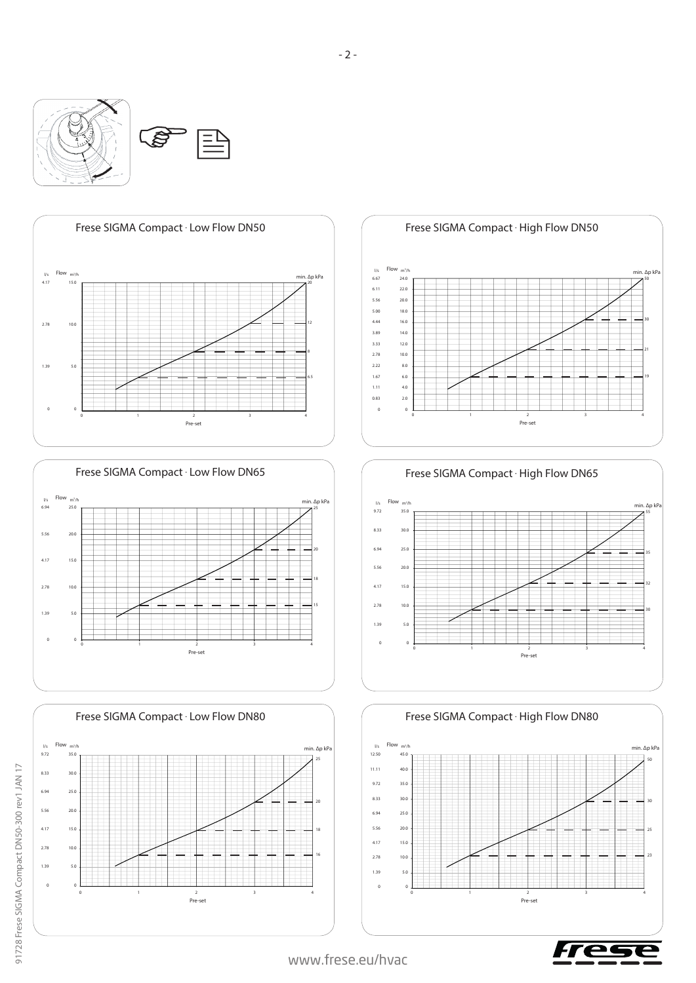















www.frese.eu/hvac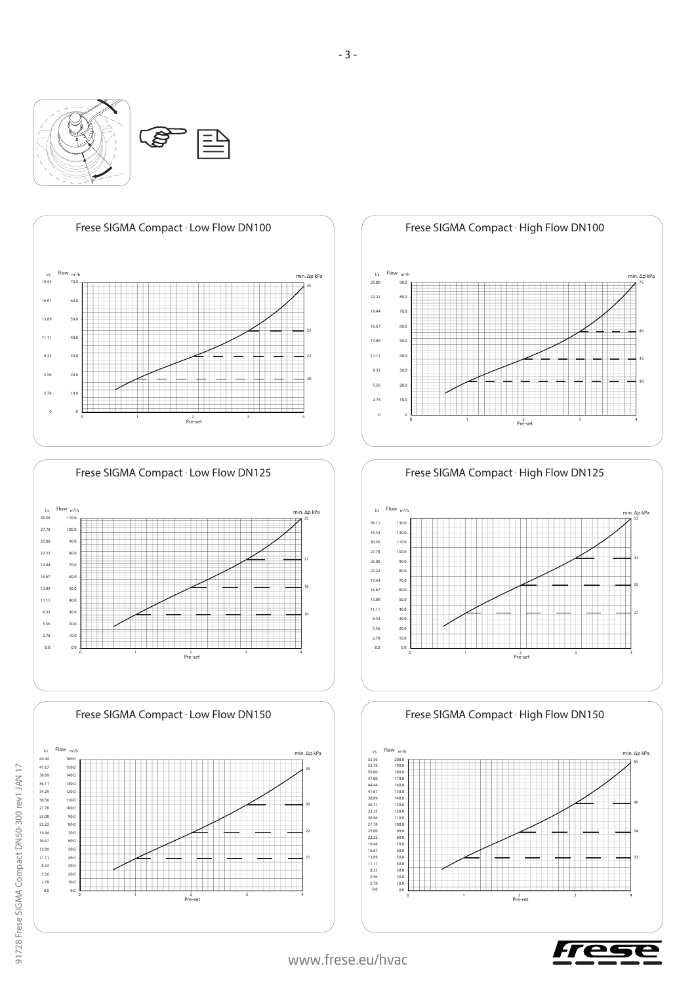